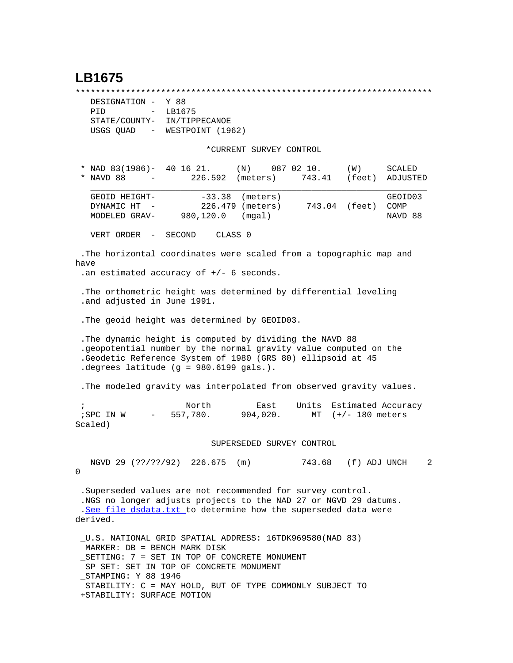## **LB1675**

\*\*\*\*\*\*\*\*\*\*\*\*\*\*\*\*\*\*\*\*\*\*\*\*\*\*\*\*\*\*\*\*\*\*\*\*\*\*\*\*\*\*\*\*\*\*\*\*\*\*\*\*\*\*\*\*\*\*\*\*\*\*\*\*\*\*\*\*\*\*\*

| DESIGNATION - Y 88                    |                  |
|---------------------------------------|------------------|
| PTD<br>$\sim$                         | LB1675           |
| STATE/COUNTY-                         | IN/TIPPECANOE    |
| USGS QUAD<br>$\alpha_{\rm{max}}=0.01$ | WESTPOINT (1962) |

\*CURRENT SURVEY CONTROL

| $\ast$                                                                                                                                                                                                                              | NAD 83(1986)- 40 16 21. (N) 087 02 10.                               |                  |                    |               | (W)           | SCALED   |  |  |
|-------------------------------------------------------------------------------------------------------------------------------------------------------------------------------------------------------------------------------------|----------------------------------------------------------------------|------------------|--------------------|---------------|---------------|----------|--|--|
| $\star$                                                                                                                                                                                                                             | NAVD 88                                                              | 226.592 (meters) |                    | 743.41 (feet) |               | ADJUSTED |  |  |
|                                                                                                                                                                                                                                     | GEOID HEIGHT-                                                        |                  | $-33.38$ (meters)  |               |               | GEOID03  |  |  |
|                                                                                                                                                                                                                                     | DYNAMIC HT                                                           |                  | 226.479 (meters)   |               | 743.04 (feet) | COMP     |  |  |
|                                                                                                                                                                                                                                     | MODELED GRAV-980,120.0                                               |                  | (mqal)             |               |               | NAVD 88  |  |  |
|                                                                                                                                                                                                                                     | VERT ORDER - SECOND                                                  |                  | CLASS <sub>0</sub> |               |               |          |  |  |
| The horizontal coordinates were scaled from a topographic map and<br>have                                                                                                                                                           |                                                                      |                  |                    |               |               |          |  |  |
|                                                                                                                                                                                                                                     | .an estimated accuracy of $+/-$ 6 seconds.                           |                  |                    |               |               |          |  |  |
| The orthometric height was determined by differential leveling<br>.and adjusted in June 1991.                                                                                                                                       |                                                                      |                  |                    |               |               |          |  |  |
|                                                                                                                                                                                                                                     | . The geoid height was determined by GEOID03.                        |                  |                    |               |               |          |  |  |
| The dynamic height is computed by dividing the NAVD 88<br>. geopotential number by the normal gravity value computed on the<br>Geodetic Reference System of 1980 (GRS 80) ellipsoid at 45<br>degrees latitude (g = 980.6199 gals.). |                                                                      |                  |                    |               |               |          |  |  |
|                                                                                                                                                                                                                                     | . The modeled gravity was interpolated from observed gravity values. |                  |                    |               |               |          |  |  |

 ; North East Units Estimated Accuracy ;SPC IN W - 557,780. 904,020. MT (+/- 180 meters Scaled)

## SUPERSEDED SURVEY CONTROL

 NGVD 29 (??/??/92) 226.675 (m) 743.68 (f) ADJ UNCH 2  $\Omega$ 

 .Superseded values are not recommended for survey control. .NGS no longer adjusts projects to the NAD 27 or NGVD 29 datums. .[See file dsdata.txt](http://www.ngs.noaa.gov/cgi-bin/ds_lookup.prl?Item=HOW_SUP_DET) to determine how the superseded data were derived.

 \_U.S. NATIONAL GRID SPATIAL ADDRESS: 16TDK969580(NAD 83) \_MARKER: DB = BENCH MARK DISK \_SETTING: 7 = SET IN TOP OF CONCRETE MONUMENT \_SP\_SET: SET IN TOP OF CONCRETE MONUMENT \_STAMPING: Y 88 1946 \_STABILITY: C = MAY HOLD, BUT OF TYPE COMMONLY SUBJECT TO +STABILITY: SURFACE MOTION